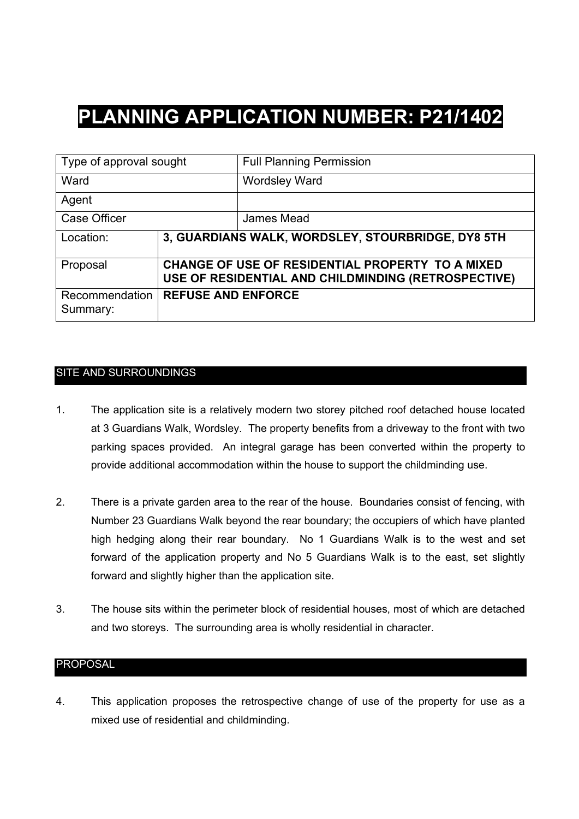# **PLANNING APPLICATION NUMBER: P21/1402**

| Type of approval sought    |                                                                                                         | <b>Full Planning Permission</b> |
|----------------------------|---------------------------------------------------------------------------------------------------------|---------------------------------|
| Ward                       |                                                                                                         | <b>Wordsley Ward</b>            |
| Agent                      |                                                                                                         |                                 |
| <b>Case Officer</b>        |                                                                                                         | James Mead                      |
| Location:                  | 3, GUARDIANS WALK, WORDSLEY, STOURBRIDGE, DY8 5TH                                                       |                                 |
| Proposal                   | CHANGE OF USE OF RESIDENTIAL PROPERTY TO A MIXED<br>USE OF RESIDENTIAL AND CHILDMINDING (RETROSPECTIVE) |                                 |
| Recommendation<br>Summary: | <b>REFUSE AND ENFORCE</b>                                                                               |                                 |

## SITE AND SURROUNDINGS

- 1. The application site is a relatively modern two storey pitched roof detached house located at 3 Guardians Walk, Wordsley. The property benefits from a driveway to the front with two parking spaces provided. An integral garage has been converted within the property to provide additional accommodation within the house to support the childminding use.
- 2. There is a private garden area to the rear of the house. Boundaries consist of fencing, with Number 23 Guardians Walk beyond the rear boundary; the occupiers of which have planted high hedging along their rear boundary. No 1 Guardians Walk is to the west and set forward of the application property and No 5 Guardians Walk is to the east, set slightly forward and slightly higher than the application site.
- 3. The house sits within the perimeter block of residential houses, most of which are detached and two storeys. The surrounding area is wholly residential in character.

#### PROPOSAL

4. This application proposes the retrospective change of use of the property for use as a mixed use of residential and childminding.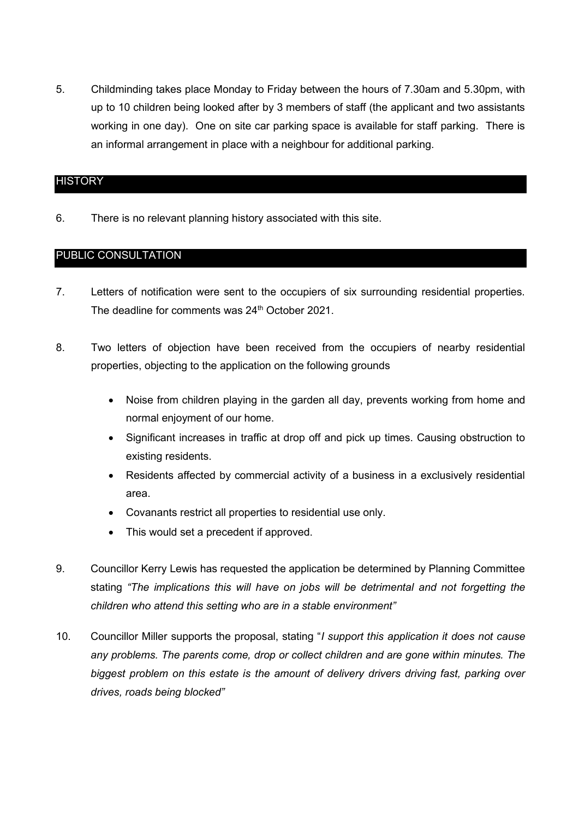5. Childminding takes place Monday to Friday between the hours of 7.30am and 5.30pm, with up to 10 children being looked after by 3 members of staff (the applicant and two assistants working in one day). One on site car parking space is available for staff parking. There is an informal arrangement in place with a neighbour for additional parking.

#### **HISTORY**

6. There is no relevant planning history associated with this site.

### PUBLIC CONSULTATION

- 7. Letters of notification were sent to the occupiers of six surrounding residential properties. The deadline for comments was 24<sup>th</sup> October 2021.
- 8. Two letters of objection have been received from the occupiers of nearby residential properties, objecting to the application on the following grounds
	- Noise from children playing in the garden all day, prevents working from home and normal enjoyment of our home.
	- Significant increases in traffic at drop off and pick up times. Causing obstruction to existing residents.
	- Residents affected by commercial activity of a business in a exclusively residential area.
	- Covanants restrict all properties to residential use only.
	- This would set a precedent if approved.
- 9. Councillor Kerry Lewis has requested the application be determined by Planning Committee stating *"The implications this will have on jobs will be detrimental and not forgetting the children who attend this setting who are in a stable environment"*
- 10. Councillor Miller supports the proposal, stating "*I support this application it does not cause any problems. The parents come, drop or collect children and are gone within minutes. The biggest problem on this estate is the amount of delivery drivers driving fast, parking over drives, roads being blocked"*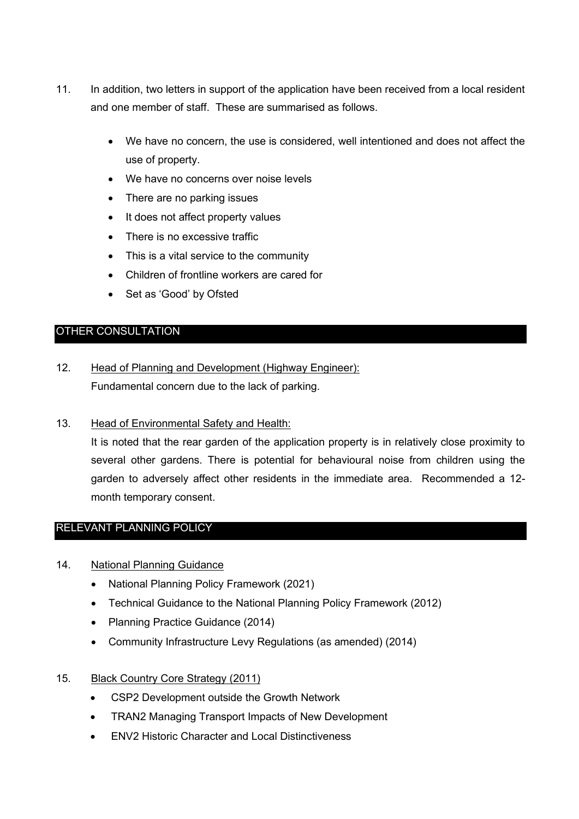- 11. In addition, two letters in support of the application have been received from a local resident and one member of staff. These are summarised as follows.
	- We have no concern, the use is considered, well intentioned and does not affect the use of property.
	- We have no concerns over noise levels
	- There are no parking issues
	- It does not affect property values
	- There is no excessive traffic
	- This is a vital service to the community
	- Children of frontline workers are cared for
	- Set as 'Good' by Ofsted

## OTHER CONSULTATION

- 12. Head of Planning and Development (Highway Engineer): Fundamental concern due to the lack of parking.
- 13. Head of Environmental Safety and Health:

It is noted that the rear garden of the application property is in relatively close proximity to several other gardens. There is potential for behavioural noise from children using the garden to adversely affect other residents in the immediate area. Recommended a 12 month temporary consent.

## RELEVANT PLANNING POLICY

#### 14. National Planning Guidance

- National Planning Policy Framework (2021)
- Technical Guidance to the National Planning Policy Framework (2012)
- Planning Practice Guidance (2014)
- Community Infrastructure Levy Regulations (as amended) (2014)
- 15. Black Country Core Strategy (2011)
	- CSP2 Development outside the Growth Network
	- TRAN2 Managing Transport Impacts of New Development
	- ENV2 Historic Character and Local Distinctiveness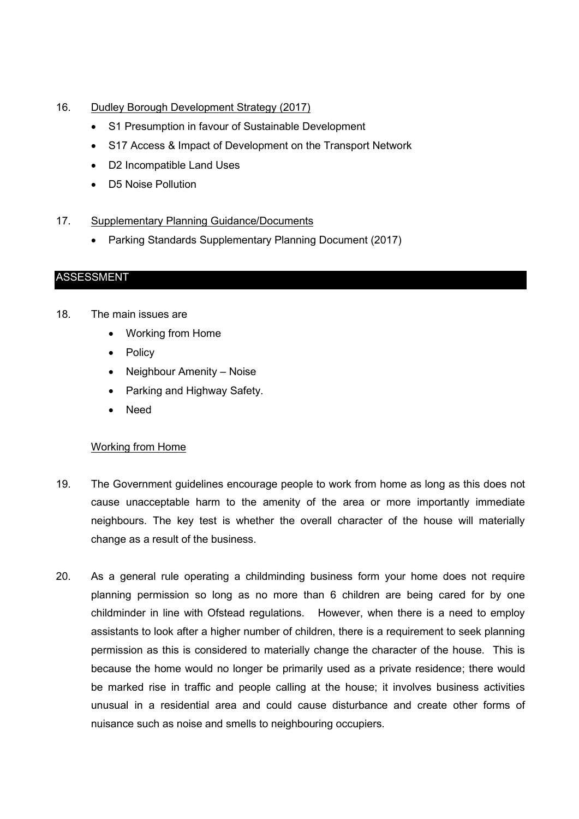### 16. Dudley Borough Development Strategy (2017)

- S1 Presumption in favour of Sustainable Development
- S17 Access & Impact of Development on the Transport Network
- D2 Incompatible Land Uses
- D5 Noise Pollution
- 17. Supplementary Planning Guidance/Documents
	- Parking Standards Supplementary Planning Document (2017)

### ASSESSMENT

- 18. The main issues are
	- Working from Home
	- Policy
	- Neighbour Amenity Noise
	- Parking and Highway Safety.
	- Need

#### Working from Home

- 19. The Government guidelines encourage people to work from home as long as this does not cause unacceptable harm to the amenity of the area or more importantly immediate neighbours. The key test is whether the overall character of the house will materially change as a result of the business.
- 20. As a general rule operating a childminding business form your home does not require planning permission so long as no more than 6 children are being cared for by one childminder in line with Ofstead regulations. However, when there is a need to employ assistants to look after a higher number of children, there is a requirement to seek planning permission as this is considered to materially change the character of the house. This is because the home would no longer be primarily used as a private residence; there would be marked rise in traffic and people calling at the house; it involves business activities unusual in a residential area and could cause disturbance and create other forms of nuisance such as noise and smells to neighbouring occupiers.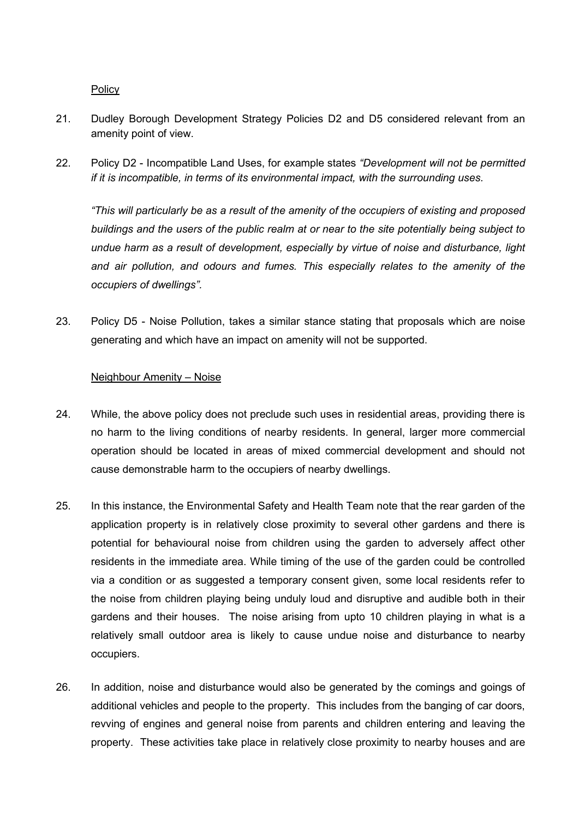**Policy** 

- 21. Dudley Borough Development Strategy Policies D2 and D5 considered relevant from an amenity point of view.
- 22. Policy D2 Incompatible Land Uses, for example states *"Development will not be permitted if it is incompatible, in terms of its environmental impact, with the surrounding uses.*

*"This will particularly be as a result of the amenity of the occupiers of existing and proposed buildings and the users of the public realm at or near to the site potentially being subject to undue harm as a result of development, especially by virtue of noise and disturbance, light and air pollution, and odours and fumes. This especially relates to the amenity of the occupiers of dwellings".*

23. Policy D5 - Noise Pollution, takes a similar stance stating that proposals which are noise generating and which have an impact on amenity will not be supported.

#### Neighbour Amenity – Noise

- 24. While, the above policy does not preclude such uses in residential areas, providing there is no harm to the living conditions of nearby residents. In general, larger more commercial operation should be located in areas of mixed commercial development and should not cause demonstrable harm to the occupiers of nearby dwellings.
- 25. In this instance, the Environmental Safety and Health Team note that the rear garden of the application property is in relatively close proximity to several other gardens and there is potential for behavioural noise from children using the garden to adversely affect other residents in the immediate area. While timing of the use of the garden could be controlled via a condition or as suggested a temporary consent given, some local residents refer to the noise from children playing being unduly loud and disruptive and audible both in their gardens and their houses. The noise arising from upto 10 children playing in what is a relatively small outdoor area is likely to cause undue noise and disturbance to nearby occupiers.
- 26. In addition, noise and disturbance would also be generated by the comings and goings of additional vehicles and people to the property. This includes from the banging of car doors, revving of engines and general noise from parents and children entering and leaving the property. These activities take place in relatively close proximity to nearby houses and are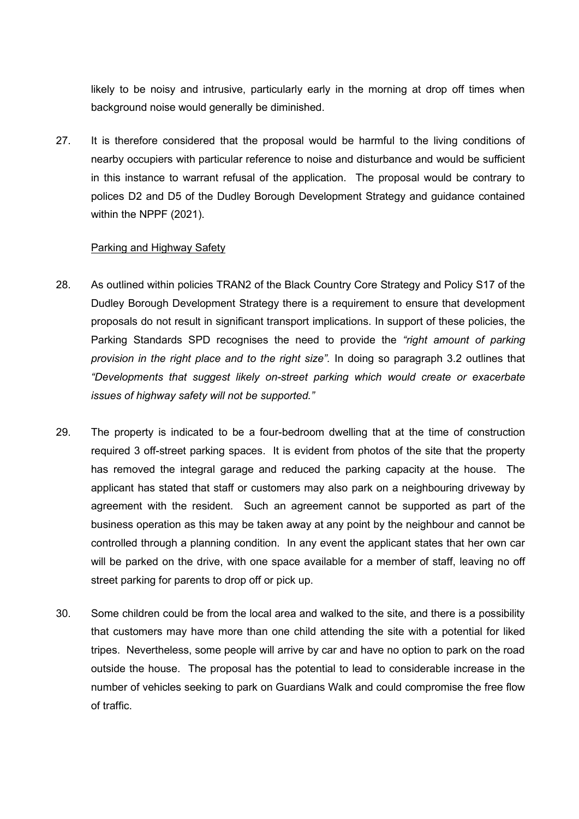likely to be noisy and intrusive, particularly early in the morning at drop off times when background noise would generally be diminished.

27. It is therefore considered that the proposal would be harmful to the living conditions of nearby occupiers with particular reference to noise and disturbance and would be sufficient in this instance to warrant refusal of the application. The proposal would be contrary to polices D2 and D5 of the Dudley Borough Development Strategy and guidance contained within the NPPF (2021).

#### Parking and Highway Safety

- 28. As outlined within policies TRAN2 of the Black Country Core Strategy and Policy S17 of the Dudley Borough Development Strategy there is a requirement to ensure that development proposals do not result in significant transport implications. In support of these policies, the Parking Standards SPD recognises the need to provide the *"right amount of parking provision in the right place and to the right size".* In doing so paragraph 3.2 outlines that *"Developments that suggest likely on-street parking which would create or exacerbate issues of highway safety will not be supported."*
- 29. The property is indicated to be a four-bedroom dwelling that at the time of construction required 3 off-street parking spaces. It is evident from photos of the site that the property has removed the integral garage and reduced the parking capacity at the house. The applicant has stated that staff or customers may also park on a neighbouring driveway by agreement with the resident. Such an agreement cannot be supported as part of the business operation as this may be taken away at any point by the neighbour and cannot be controlled through a planning condition. In any event the applicant states that her own car will be parked on the drive, with one space available for a member of staff, leaving no off street parking for parents to drop off or pick up.
- 30. Some children could be from the local area and walked to the site, and there is a possibility that customers may have more than one child attending the site with a potential for liked tripes. Nevertheless, some people will arrive by car and have no option to park on the road outside the house. The proposal has the potential to lead to considerable increase in the number of vehicles seeking to park on Guardians Walk and could compromise the free flow of traffic.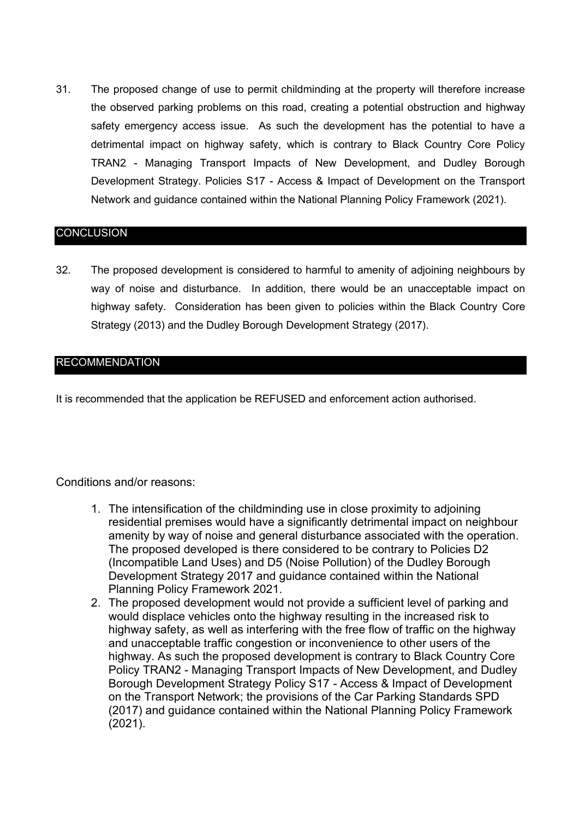31. The proposed change of use to permit childminding at the property will therefore increase the observed parking problems on this road, creating a potential obstruction and highway safety emergency access issue. As such the development has the potential to have a detrimental impact on highway safety, which is contrary to Black Country Core Policy TRAN2 - Managing Transport Impacts of New Development, and Dudley Borough Development Strategy. Policies S17 - Access & Impact of Development on the Transport Network and guidance contained within the National Planning Policy Framework (2021).

#### **CONCLUSION**

32. The proposed development is considered to harmful to amenity of adjoining neighbours by way of noise and disturbance. In addition, there would be an unacceptable impact on highway safety. Consideration has been given to policies within the Black Country Core Strategy (2013) and the Dudley Borough Development Strategy (2017).

### RECOMMENDATION

It is recommended that the application be REFUSED and enforcement action authorised.

#### Conditions and/or reasons:

- 1. The intensification of the childminding use in close proximity to adjoining residential premises would have a significantly detrimental impact on neighbour amenity by way of noise and general disturbance associated with the operation. The proposed developed is there considered to be contrary to Policies D2 (Incompatible Land Uses) and D5 (Noise Pollution) of the Dudley Borough Development Strategy 2017 and guidance contained within the National Planning Policy Framework 2021.
- 2. The proposed development would not provide a sufficient level of parking and would displace vehicles onto the highway resulting in the increased risk to highway safety, as well as interfering with the free flow of traffic on the highway and unacceptable traffic congestion or inconvenience to other users of the highway. As such the proposed development is contrary to Black Country Core Policy TRAN2 - Managing Transport Impacts of New Development, and Dudley Borough Development Strategy Policy S17 - Access & Impact of Development on the Transport Network; the provisions of the Car Parking Standards SPD (2017) and guidance contained within the National Planning Policy Framework (2021).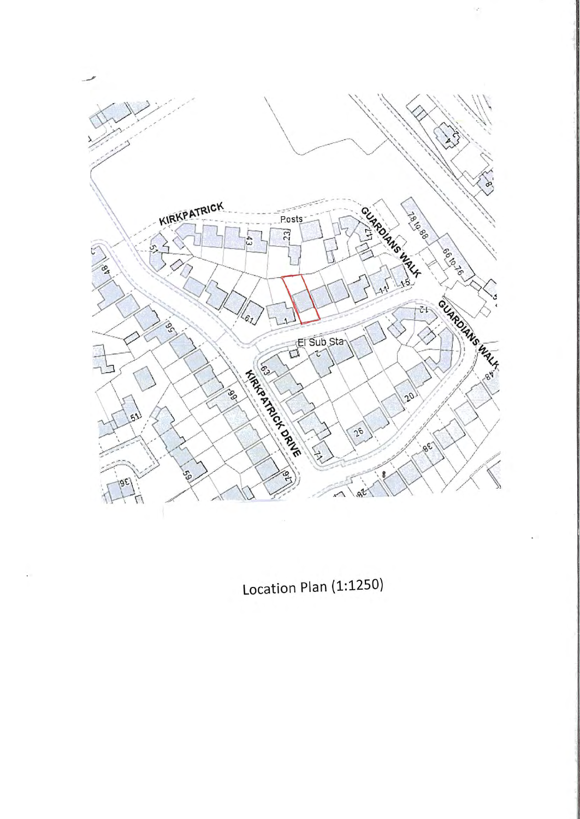

ł,

Location Plan (1:1250)